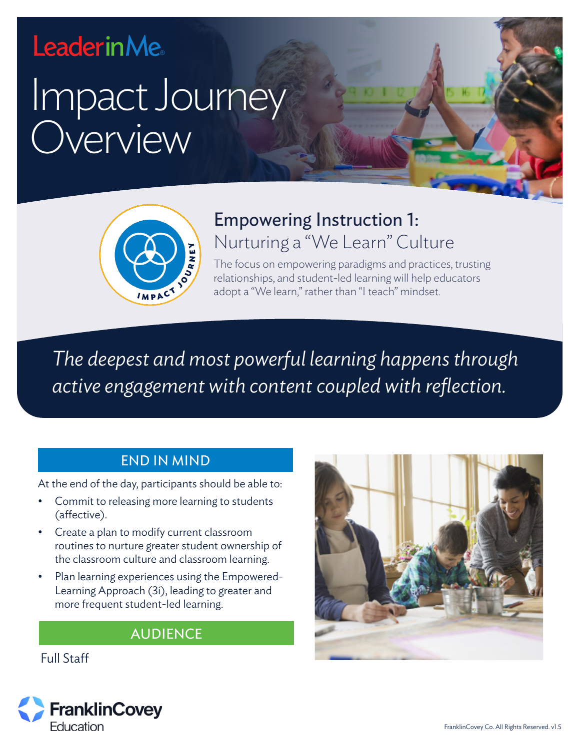# **LeaderinMe**

# Impact Journey **Overview**



# Empowering Instruction 1: Nurturing a "We Learn" Culture

The focus on empowering paradigms and practices, trusting relationships, and student-led learning will help educators adopt a "We learn," rather than "I teach" mindset.

*The deepest and most powerful learning happens through active engagement with content coupled with reflection.*

#### END IN MIND

At the end of the day, participants should be able to:

- Commit to releasing more learning to students (affective).
- Create a plan to modify current classroom routines to nurture greater student ownership of the classroom culture and classroom learning.
- Plan learning experiences using the Empowered-Learning Approach (3i), leading to greater and more frequent student-led learning.

#### AUDIENCE

Full Staff